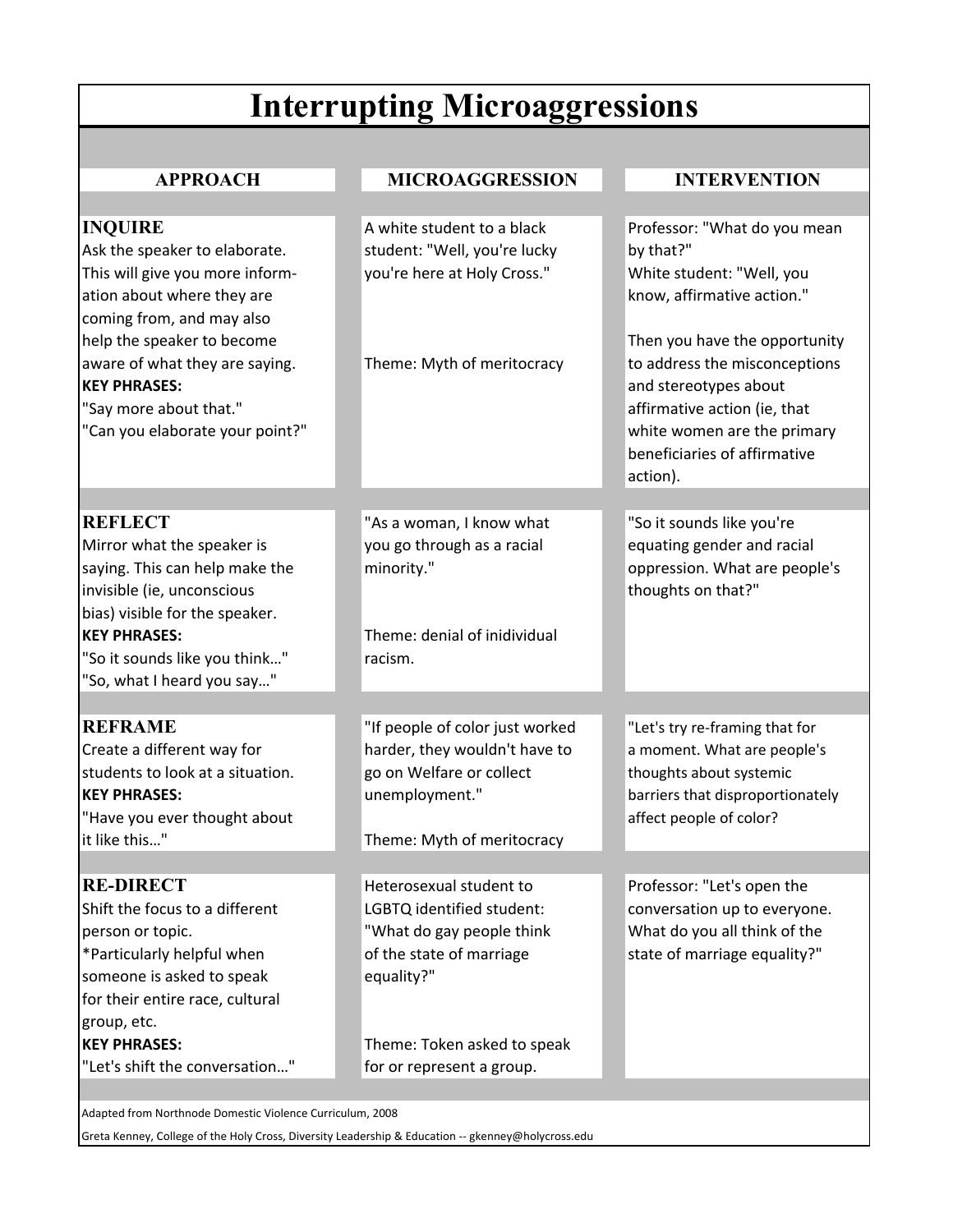# **Interrupting Microaggressions**

## **APPROACH MICROAGGRESSION INTERVENTION**

| <b>INQUIRE</b>                   | A white student to a black      | Professor: "What do you mean     |
|----------------------------------|---------------------------------|----------------------------------|
| Ask the speaker to elaborate.    | student: "Well, you're lucky    | by that?"                        |
| This will give you more inform-  | you're here at Holy Cross."     | White student: "Well, you        |
| ation about where they are       |                                 | know, affirmative action."       |
| coming from, and may also        |                                 |                                  |
| help the speaker to become       |                                 | Then you have the opportunity    |
| aware of what they are saying.   | Theme: Myth of meritocracy      | to address the misconceptions    |
| <b>KEY PHRASES:</b>              |                                 | and stereotypes about            |
| "Say more about that."           |                                 | affirmative action (ie, that     |
| "Can you elaborate your point?"  |                                 | white women are the primary      |
|                                  |                                 | beneficiaries of affirmative     |
|                                  |                                 | action).                         |
|                                  |                                 |                                  |
| <b>REFLECT</b>                   | "As a woman, I know what        | "So it sounds like you're        |
| Mirror what the speaker is       | you go through as a racial      | equating gender and racial       |
| saying. This can help make the   | minority."                      | oppression. What are people's    |
| invisible (ie, unconscious       |                                 | thoughts on that?"               |
| bias) visible for the speaker.   |                                 |                                  |
| <b>KEY PHRASES:</b>              | Theme: denial of inidividual    |                                  |
| "So it sounds like you think"    | racism.                         |                                  |
| "So, what I heard you say"       |                                 |                                  |
|                                  |                                 |                                  |
| <b>REFRAME</b>                   | "If people of color just worked | "Let's try re-framing that for   |
| Create a different way for       | harder, they wouldn't have to   | a moment. What are people's      |
| students to look at a situation. | go on Welfare or collect        | thoughts about systemic          |
| <b>KEY PHRASES:</b>              | unemployment."                  | barriers that disproportionately |
| "Have you ever thought about     |                                 | affect people of color?          |
| it like this"                    | Theme: Myth of meritocracy      |                                  |
|                                  |                                 |                                  |
| <b>RE-DIRECT</b>                 | Heterosexual student to         | Professor: "Let's open the       |
| Shift the focus to a different   | LGBTQ identified student:       | conversation up to everyone.     |
| person or topic.                 | "What do gay people think       | What do you all think of the     |
| *Particularly helpful when       | of the state of marriage        | state of marriage equality?"     |
| someone is asked to speak        | equality?"                      |                                  |
| for their entire race, cultural  |                                 |                                  |
| group, etc.                      |                                 |                                  |
| <b>KEY PHRASES:</b>              | Theme: Token asked to speak     |                                  |
| "Let's shift the conversation"   | for or represent a group.       |                                  |
|                                  |                                 |                                  |

Adapted from Northnode Domestic Violence Curriculum, 2008

Greta Kenney, College of the Holy Cross, Diversity Leadership & Education -- gkenney@holycross.edu